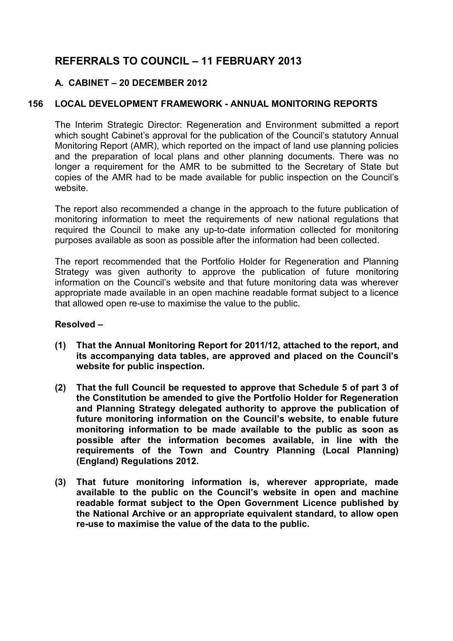# **REFERRALS TO COUNCIL – 11 FEBRUARY 2013**

# **A. CABINET – 20 DECEMBER 2012**

# **156 LOCAL DEVELOPMENT FRAMEWORK - ANNUAL MONITORING REPORTS**

The Interim Strategic Director: Regeneration and Environment submitted a report which sought Cabinet's approval for the publication of the Council's statutory Annual Monitoring Report (AMR), which reported on the impact of land use planning policies and the preparation of local plans and other planning documents. There was no longer a requirement for the AMR to be submitted to the Secretary of State but copies of the AMR had to be made available for public inspection on the Council's website.

The report also recommended a change in the approach to the future publication of monitoring information to meet the requirements of new national regulations that required the Council to make any up-to-date information collected for monitoring purposes available as soon as possible after the information had been collected.

The report recommended that the Portfolio Holder for Regeneration and Planning Strategy was given authority to approve the publication of future monitoring information on the Council's website and that future monitoring data was wherever appropriate made available in an open machine readable format subject to a licence that allowed open re-use to maximise the value to the public.

# **Resolved –**

- **(1) That the Annual Monitoring Report for 2011/12, attached to the report, and its accompanying data tables, are approved and placed on the Council's website for public inspection.**
- **(2) That the full Council be requested to approve that Schedule 5 of part 3 of the Constitution be amended to give the Portfolio Holder for Regeneration and Planning Strategy delegated authority to approve the publication of future monitoring information on the Council's website, to enable future monitoring information to be made available to the public as soon as possible after the information becomes available, in line with the requirements of the Town and Country Planning (Local Planning) (England) Regulations 2012.**
- **(3) That future monitoring information is, wherever appropriate, made available to the public on the Council's website in open and machine readable format subject to the Open Government Licence published by the National Archive or an appropriate equivalent standard, to allow open re-use to maximise the value of the data to the public.**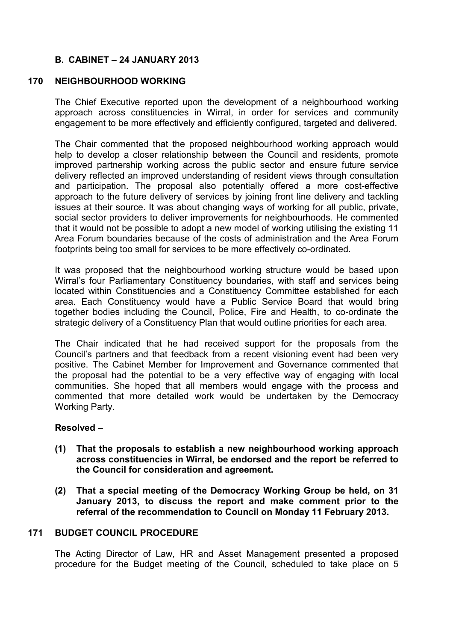# **B. CABINET – 24 JANUARY 2013**

### **170 NEIGHBOURHOOD WORKING**

The Chief Executive reported upon the development of a neighbourhood working approach across constituencies in Wirral, in order for services and community engagement to be more effectively and efficiently configured, targeted and delivered.

The Chair commented that the proposed neighbourhood working approach would help to develop a closer relationship between the Council and residents, promote improved partnership working across the public sector and ensure future service delivery reflected an improved understanding of resident views through consultation and participation. The proposal also potentially offered a more cost-effective approach to the future delivery of services by joining front line delivery and tackling issues at their source. It was about changing ways of working for all public, private, social sector providers to deliver improvements for neighbourhoods. He commented that it would not be possible to adopt a new model of working utilising the existing 11 Area Forum boundaries because of the costs of administration and the Area Forum footprints being too small for services to be more effectively co-ordinated.

It was proposed that the neighbourhood working structure would be based upon Wirral's four Parliamentary Constituency boundaries, with staff and services being located within Constituencies and a Constituency Committee established for each area. Each Constituency would have a Public Service Board that would bring together bodies including the Council, Police, Fire and Health, to co-ordinate the strategic delivery of a Constituency Plan that would outline priorities for each area.

The Chair indicated that he had received support for the proposals from the Council's partners and that feedback from a recent visioning event had been very positive. The Cabinet Member for Improvement and Governance commented that the proposal had the potential to be a very effective way of engaging with local communities. She hoped that all members would engage with the process and commented that more detailed work would be undertaken by the Democracy Working Party.

#### **Resolved –**

- **(1) That the proposals to establish a new neighbourhood working approach across constituencies in Wirral, be endorsed and the report be referred to the Council for consideration and agreement.**
- **(2) That a special meeting of the Democracy Working Group be held, on 31 January 2013, to discuss the report and make comment prior to the referral of the recommendation to Council on Monday 11 February 2013.**

# **171 BUDGET COUNCIL PROCEDURE**

The Acting Director of Law, HR and Asset Management presented a proposed procedure for the Budget meeting of the Council, scheduled to take place on 5